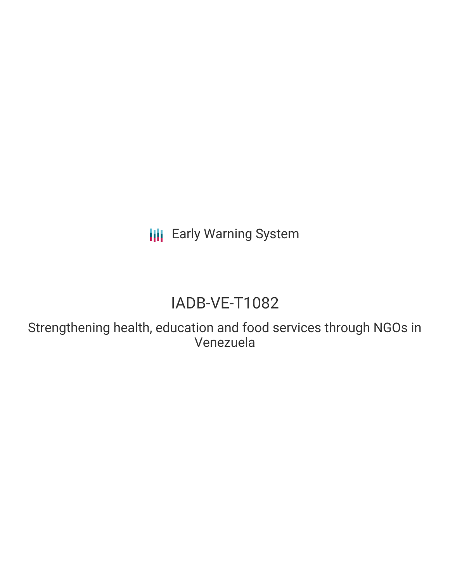**III** Early Warning System

# IADB-VE-T1082

Strengthening health, education and food services through NGOs in Venezuela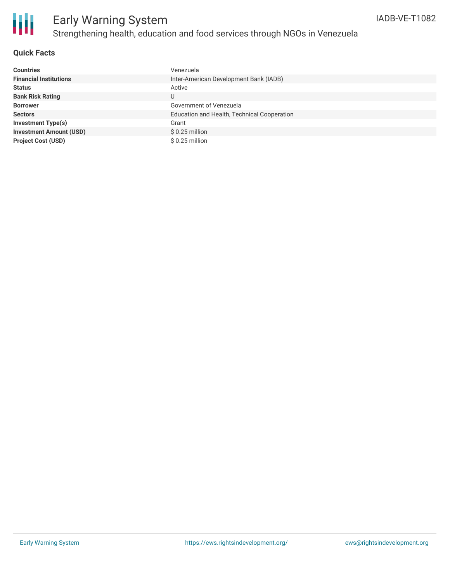

### **Quick Facts**

| <b>Countries</b>               | Venezuela                                   |
|--------------------------------|---------------------------------------------|
| <b>Financial Institutions</b>  | Inter-American Development Bank (IADB)      |
| <b>Status</b>                  | Active                                      |
| <b>Bank Risk Rating</b>        | U                                           |
| <b>Borrower</b>                | Government of Venezuela                     |
| <b>Sectors</b>                 | Education and Health, Technical Cooperation |
| <b>Investment Type(s)</b>      | Grant                                       |
| <b>Investment Amount (USD)</b> | $$0.25$ million                             |
| <b>Project Cost (USD)</b>      | $$0.25$ million                             |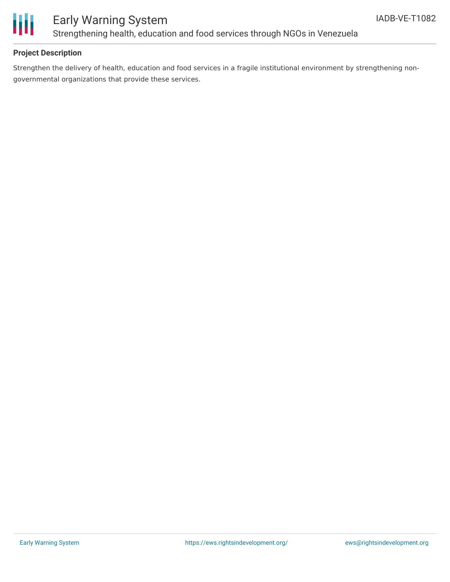

# Early Warning System Strengthening health, education and food services through NGOs in Venezuela

### **Project Description**

Strengthen the delivery of health, education and food services in a fragile institutional environment by strengthening nongovernmental organizations that provide these services.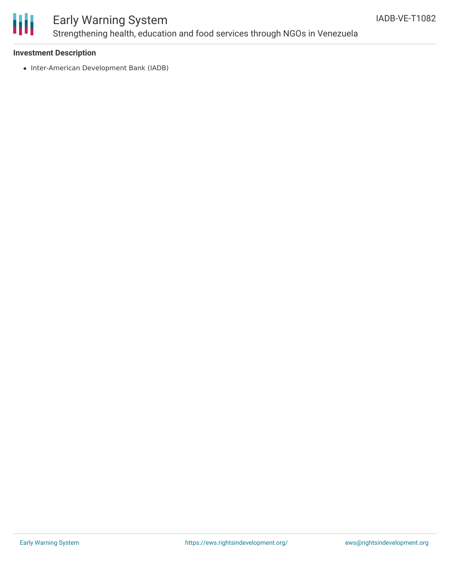

# Early Warning System Strengthening health, education and food services through NGOs in Venezuela

#### **Investment Description**

• Inter-American Development Bank (IADB)